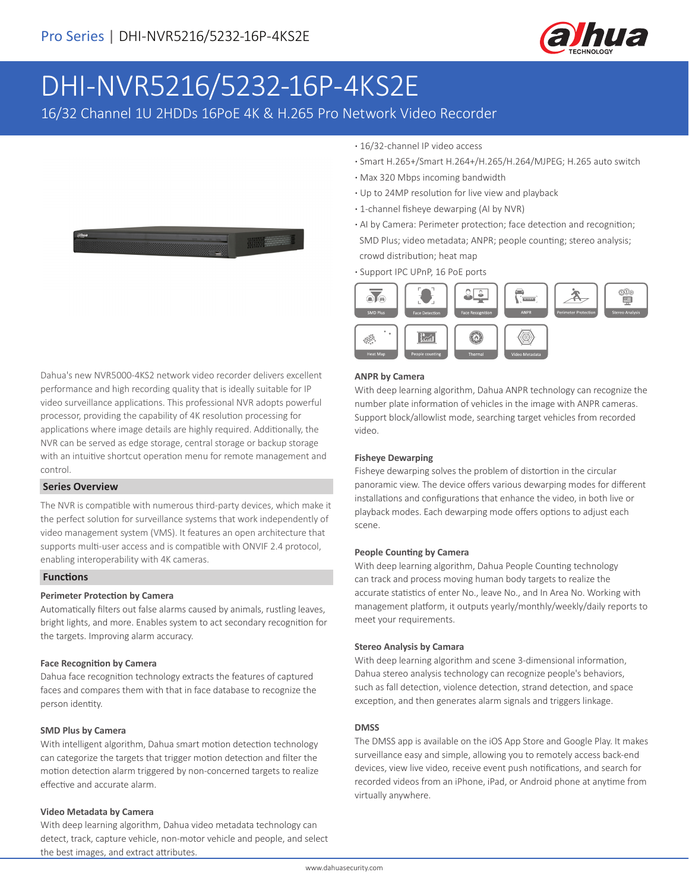

# DHI-NVR5216/5232-16P-4KS2E

16/32 Channel 1U 2HDDs 16PoE 4K & H.265 Pro Network Video Recorder



Dahua's new NVR5000-4KS2 network video recorder delivers excellent performance and high recording quality that is ideally suitable for IP video surveillance applications. This professional NVR adopts powerful processor, providing the capability of 4K resolution processing for applications where image details are highly required. Additionally, the NVR can be served as edge storage, central storage or backup storage with an intuitive shortcut operation menu for remote management and control.

#### **Series Overview**

The NVR is compatible with numerous third-party devices, which make it the perfect solution for surveillance systems that work independently of video management system (VMS). It features an open architecture that supports multi-user access and is compatible with ONVIF 2.4 protocol, enabling interoperability with 4K cameras.

### **Functions**

#### **Perimeter Protection by Camera**

Automatically filters out false alarms caused by animals, rustling leaves, bright lights, and more. Enables system to act secondary recognition for the targets. Improving alarm accuracy.

#### **Face Recognition by Camera**

Dahua face recognition technology extracts the features of captured faces and compares them with that in face database to recognize the person identity.

#### **SMD Plus by Camera**

With intelligent algorithm, Dahua smart motion detection technology can categorize the targets that trigger motion detection and filter the motion detection alarm triggered by non-concerned targets to realize effective and accurate alarm.

#### **Video Metadata by Camera**

With deep learning algorithm, Dahua video metadata technology can detect, track, capture vehicle, non-motor vehicle and people, and select the best images, and extract attributes.

- **·** 16/32-channel IP video access
- **·** Smart H.265+/Smart H.264+/H.265/H.264/MJPEG; H.265 auto switch
- **·** Max 320 Mbps incoming bandwidth
- **·** Up to 24MP resolution for live view and playback
- **·** 1-channel fisheye dewarping (AI by NVR)
- **·** AI by Camera: Perimeter protection; face detection and recognition; SMD Plus; video metadata; ANPR; people counting; stereo analysis; crowd distribution; heat map
- **·** Support IPC UPnP, 16 PoE ports



#### **ANPR by Camera**

With deep learning algorithm, Dahua ANPR technology can recognize the number plate information of vehicles in the image with ANPR cameras. Support block/allowlist mode, searching target vehicles from recorded video.

#### **Fisheye Dewarping**

Fisheye dewarping solves the problem of distortion in the circular panoramic view. The device offers various dewarping modes for different installations and configurations that enhance the video, in both live or playback modes. Each dewarping mode offers options to adjust each scene.

#### **People Counting by Camera**

With deep learning algorithm, Dahua People Counting technology can track and process moving human body targets to realize the accurate statistics of enter No., leave No., and In Area No. Working with management platform, it outputs yearly/monthly/weekly/daily reports to meet your requirements.

#### **Stereo Analysis by Camara**

With deep learning algorithm and scene 3-dimensional information, Dahua stereo analysis technology can recognize people's behaviors, such as fall detection, violence detection, strand detection, and space exception, and then generates alarm signals and triggers linkage.

#### **DMSS**

The DMSS app is available on the iOS App Store and Google Play. It makes surveillance easy and simple, allowing you to remotely access back-end devices, view live video, receive event push notifications, and search for recorded videos from an iPhone, iPad, or Android phone at anytime from virtually anywhere.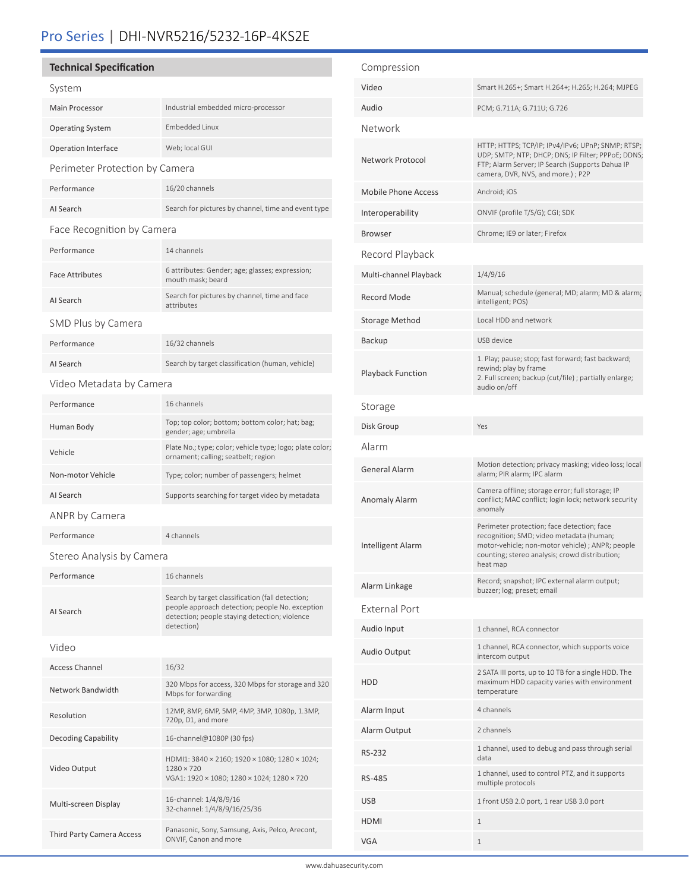# Pro Series | DHI-NVR5216/5232-16P-4KS2E

## **Technical Specification**

| c.     |  |
|--------|--|
| L<br>÷ |  |
|        |  |

| System                         |                                                                                                                                                                    |  |  |
|--------------------------------|--------------------------------------------------------------------------------------------------------------------------------------------------------------------|--|--|
| <b>Main Processor</b>          | Industrial embedded micro-processor                                                                                                                                |  |  |
| <b>Operating System</b>        | <b>Embedded Linux</b>                                                                                                                                              |  |  |
| <b>Operation Interface</b>     | Web; local GUI                                                                                                                                                     |  |  |
| Perimeter Protection by Camera |                                                                                                                                                                    |  |  |
| Performance                    | 16/20 channels                                                                                                                                                     |  |  |
| AI Search                      | Search for pictures by channel, time and event type                                                                                                                |  |  |
| Face Recognition by Camera     |                                                                                                                                                                    |  |  |
| Performance                    | 14 channels                                                                                                                                                        |  |  |
| <b>Face Attributes</b>         | 6 attributes: Gender; age; glasses; expression;<br>mouth mask; beard                                                                                               |  |  |
| AI Search                      | Search for pictures by channel, time and face<br>attributes                                                                                                        |  |  |
| SMD Plus by Camera             |                                                                                                                                                                    |  |  |
| Performance                    | 16/32 channels                                                                                                                                                     |  |  |
| AI Search                      | Search by target classification (human, vehicle)                                                                                                                   |  |  |
| Video Metadata by Camera       |                                                                                                                                                                    |  |  |
| Performance                    | 16 channels                                                                                                                                                        |  |  |
| Human Body                     | Top; top color; bottom; bottom color; hat; bag;<br>gender; age; umbrella                                                                                           |  |  |
| Vehicle                        | Plate No.; type; color; vehicle type; logo; plate color;<br>ornament; calling; seatbelt; region                                                                    |  |  |
| Non-motor Vehicle              | Type; color; number of passengers; helmet                                                                                                                          |  |  |
| AI Search                      | Supports searching for target video by metadata                                                                                                                    |  |  |
| ANPR by Camera                 |                                                                                                                                                                    |  |  |
|                                |                                                                                                                                                                    |  |  |
| Performance                    | 4 channels                                                                                                                                                         |  |  |
| Stereo Analysis by Camera      |                                                                                                                                                                    |  |  |
| Performance                    | 16 channels                                                                                                                                                        |  |  |
| AI Search                      | Search by target classification (fall detection;<br>people approach detection; people No. exception<br>detection; people staying detection; violence<br>detection) |  |  |
| Video                          |                                                                                                                                                                    |  |  |
| <b>Access Channel</b>          | 16/32                                                                                                                                                              |  |  |
| Network Bandwidth              | 320 Mbps for access, 320 Mbps for storage and 320<br>Mbps for forwarding                                                                                           |  |  |
| Resolution                     | 12MP, 8MP, 6MP, 5MP, 4MP, 3MP, 1080p, 1.3MP,<br>720p, D1, and more                                                                                                 |  |  |
| Decoding Capability            | 16-channel@1080P (30 fps)                                                                                                                                          |  |  |
| Video Output                   | HDMI1: 3840 × 2160; 1920 × 1080; 1280 × 1024;<br>$1280 \times 720$<br>VGA1: 1920 × 1080; 1280 × 1024; 1280 × 720                                                   |  |  |
| Multi-screen Display           | 16-channel: 1/4/8/9/16<br>32-channel: 1/4/8/9/16/25/36                                                                                                             |  |  |

| Compression                |                                                                                                                                                                                                          |
|----------------------------|----------------------------------------------------------------------------------------------------------------------------------------------------------------------------------------------------------|
| Video                      | Smart H.265+; Smart H.264+; H.265; H.264; MJPEG                                                                                                                                                          |
| Audio                      | PCM; G.711A; G.711U; G.726                                                                                                                                                                               |
| Network                    |                                                                                                                                                                                                          |
| Network Protocol           | HTTP; HTTPS; TCP/IP; IPv4/IPv6; UPnP; SNMP; RTSP;<br>UDP; SMTP; NTP; DHCP; DNS; IP Filter; PPPoE; DDNS;<br>FTP; Alarm Server; IP Search (Supports Dahua IP<br>camera, DVR, NVS, and more.) ; P2P         |
| <b>Mobile Phone Access</b> | Android; iOS                                                                                                                                                                                             |
| Interoperability           | ONVIF (profile T/S/G); CGI; SDK                                                                                                                                                                          |
| <b>Browser</b>             | Chrome; IE9 or later; Firefox                                                                                                                                                                            |
| Record Playback            |                                                                                                                                                                                                          |
| Multi-channel Playback     | 1/4/9/16                                                                                                                                                                                                 |
| <b>Record Mode</b>         | Manual; schedule (general; MD; alarm; MD & alarm;<br>intelligent; POS)                                                                                                                                   |
| Storage Method             | Local HDD and network                                                                                                                                                                                    |
| Backup                     | USB device                                                                                                                                                                                               |
| <b>Playback Function</b>   | 1. Play; pause; stop; fast forward; fast backward;<br>rewind; play by frame<br>2. Full screen; backup (cut/file) ; partially enlarge;<br>audio on/off                                                    |
| Storage                    |                                                                                                                                                                                                          |
| Disk Group                 | Yes                                                                                                                                                                                                      |
| Alarm                      |                                                                                                                                                                                                          |
| <b>General Alarm</b>       | Motion detection; privacy masking; video loss; local<br>alarm; PIR alarm; IPC alarm                                                                                                                      |
| Anomaly Alarm              | Camera offline; storage error; full storage; IP<br>conflict; MAC conflict; login lock; network security<br>anomaly                                                                                       |
| Intelligent Alarm          | Perimeter protection; face detection; face<br>recognition; SMD; video metadata (human;<br>motor-vehicle; non-motor vehicle) ; ANPR; people<br>counting; stereo analysis; crowd distribution;<br>heat map |
| Alarm Linkage              | Record; snapshot; IPC external alarm output;<br>buzzer; log; preset; email                                                                                                                               |
| External Port              |                                                                                                                                                                                                          |
| Audio Input                | 1 channel, RCA connector                                                                                                                                                                                 |
| Audio Output               | 1 channel, RCA connector, which supports voice<br>intercom output                                                                                                                                        |
| <b>HDD</b>                 | 2 SATA III ports, up to 10 TB for a single HDD. The<br>maximum HDD capacity varies with environment<br>temperature                                                                                       |
| Alarm Input                | 4 channels                                                                                                                                                                                               |
| Alarm Output               | 2 channels                                                                                                                                                                                               |
| RS-232                     | 1 channel, used to debug and pass through serial<br>data                                                                                                                                                 |
| RS-485                     | 1 channel, used to control PTZ, and it supports<br>multiple protocols                                                                                                                                    |
| USB                        | 1 front USB 2.0 port, 1 rear USB 3.0 port                                                                                                                                                                |
| <b>HDMI</b>                | 1                                                                                                                                                                                                        |
| VGA                        | 1                                                                                                                                                                                                        |